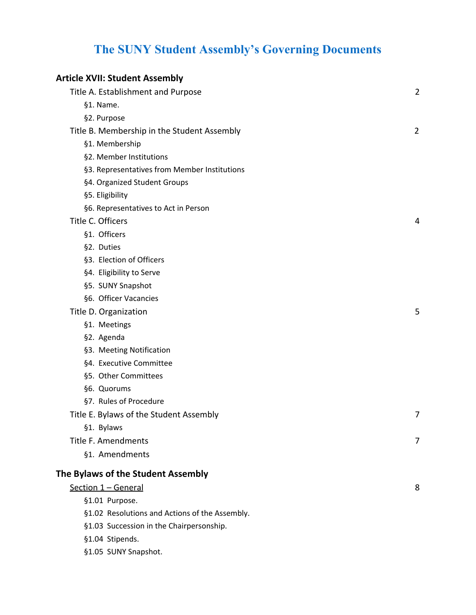# **The SUNY Student Assembly's Governing Documents**

| <b>Article XVII: Student Assembly</b>          |                |
|------------------------------------------------|----------------|
| Title A. Establishment and Purpose             | $\overline{2}$ |
| §1. Name.                                      |                |
| §2. Purpose                                    |                |
| Title B. Membership in the Student Assembly    | $\overline{2}$ |
| §1. Membership                                 |                |
| §2. Member Institutions                        |                |
| §3. Representatives from Member Institutions   |                |
| §4. Organized Student Groups                   |                |
| §5. Eligibility                                |                |
| §6. Representatives to Act in Person           |                |
| Title C. Officers                              | 4              |
| §1. Officers                                   |                |
| §2. Duties                                     |                |
| §3. Election of Officers                       |                |
| §4. Eligibility to Serve                       |                |
| §5. SUNY Snapshot                              |                |
| §6. Officer Vacancies                          |                |
| Title D. Organization                          | 5              |
| §1. Meetings                                   |                |
| §2. Agenda                                     |                |
| §3. Meeting Notification                       |                |
| §4. Executive Committee                        |                |
| §5. Other Committees                           |                |
| §6. Quorums                                    |                |
| §7. Rules of Procedure                         |                |
| Title E. Bylaws of the Student Assembly        | 7              |
| §1. Bylaws                                     |                |
| Title F. Amendments                            | 7              |
| §1. Amendments                                 |                |
| The Bylaws of the Student Assembly             |                |
| Section 1 - General                            | 8              |
| §1.01 Purpose.                                 |                |
| §1.02 Resolutions and Actions of the Assembly. |                |
| §1.03 Succession in the Chairpersonship.       |                |
| §1.04 Stipends.                                |                |

§1.05 SUNY [Snapshot.](#page-9-1)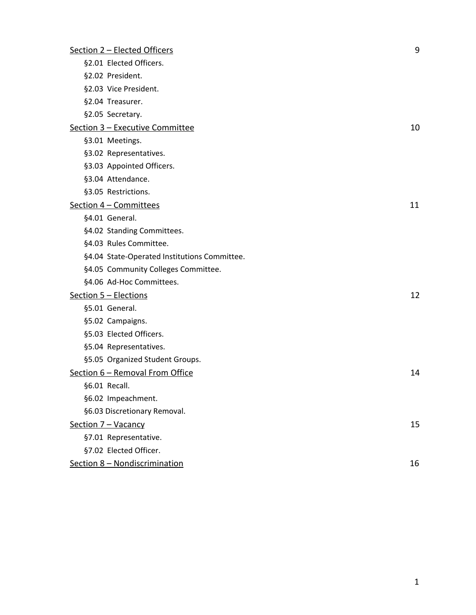| Section 2 - Elected Officers                 | 9  |
|----------------------------------------------|----|
| §2.01 Elected Officers.                      |    |
| §2.02 President.                             |    |
| §2.03 Vice President.                        |    |
| §2.04 Treasurer.                             |    |
| §2.05 Secretary.                             |    |
| Section 3 - Executive Committee              | 10 |
| §3.01 Meetings.                              |    |
| §3.02 Representatives.                       |    |
| §3.03 Appointed Officers.                    |    |
| §3.04 Attendance.                            |    |
| §3.05 Restrictions.                          |    |
| Section 4 - Committees                       | 11 |
| §4.01 General.                               |    |
| §4.02 Standing Committees.                   |    |
| §4.03 Rules Committee.                       |    |
| §4.04 State-Operated Institutions Committee. |    |
| §4.05 Community Colleges Committee.          |    |
| §4.06 Ad-Hoc Committees.                     |    |
| Section 5 - Elections                        | 12 |
| §5.01 General.                               |    |
| §5.02 Campaigns.                             |    |
| §5.03 Elected Officers.                      |    |
| §5.04 Representatives.                       |    |
| §5.05 Organized Student Groups.              |    |
| Section 6 - Removal From Office              | 14 |
| §6.01 Recall.                                |    |
| §6.02 Impeachment.                           |    |
| §6.03 Discretionary Removal.                 |    |
| Section 7 - Vacancy                          | 15 |
| §7.01 Representative.                        |    |
| §7.02 Elected Officer.                       |    |
| Section 8 - Nondiscrimination                | 16 |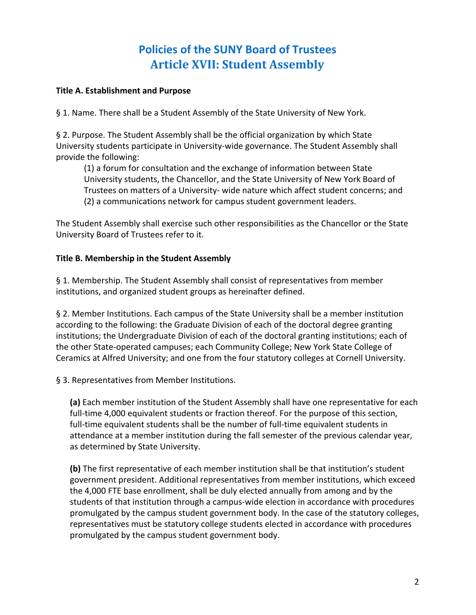# **Policies of the SUNY Board of Trustees Article XVII: Student Assembly**

#### <span id="page-2-1"></span><span id="page-2-0"></span>**Title A. Establishment and Purpose**

§ 1. Name. There shall be a Student Assembly of the State University of New York.

§ 2. Purpose. The Student Assembly shall be the official organization by which State University students participate in University-wide governance. The Student Assembly shall provide the following:

(1) a forum for consultation and the exchange of information between State University students, the Chancellor, and the State University of New York Board of Trustees on matters of a University- wide nature which affect student concerns; and (2) a communications network for campus student government leaders.

The Student Assembly shall exercise such other responsibilities as the Chancellor or the State University Board of Trustees refer to it.

#### <span id="page-2-2"></span>**Title B. Membership in the Student Assembly**

§ 1. Membership. The Student Assembly shall consist of representatives from member institutions, and organized student groups as hereinafter defined.

§ 2. Member Institutions. Each campus of the State University shall be a member institution according to the following: the Graduate Division of each of the doctoral degree granting institutions; the Undergraduate Division of each of the doctoral granting institutions; each of the other State-operated campuses; each Community College; New York State College of Ceramics at Alfred University; and one from the four statutory colleges at Cornell University.

§ 3. Representatives from Member Institutions.

**(a)** Each member institution of the Student Assembly shall have one representative for each full-time 4,000 equivalent students or fraction thereof. For the purpose of this section, full-time equivalent students shall be the number of full-time equivalent students in attendance at a member institution during the fall semester of the previous calendar year, as determined by State University.

**(b)** The first representative of each member institution shall be that institution's student government president. Additional representatives from member institutions, which exceed the 4,000 FTE base enrollment, shall be duly elected annually from among and by the students of that institution through a campus-wide election in accordance with procedures promulgated by the campus student government body. In the case of the statutory colleges, representatives must be statutory college students elected in accordance with procedures promulgated by the campus student government body.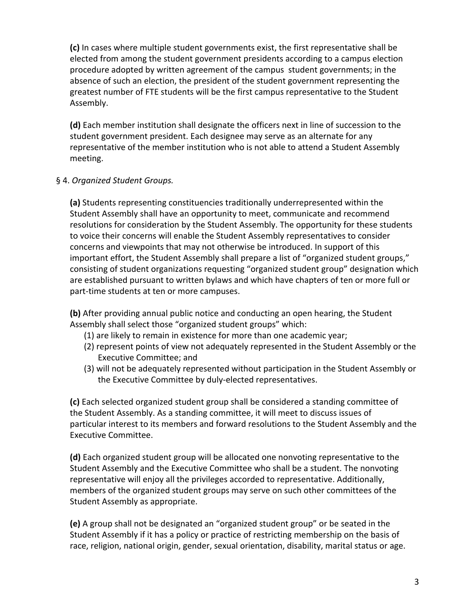**(c)** In cases where multiple student governments exist, the first representative shall be elected from among the student government presidents according to a campus election procedure adopted by written agreement of the campus student governments; in the absence of such an election, the president of the student government representing the greatest number of FTE students will be the first campus representative to the Student Assembly.

**(d)** Each member institution shall designate the officers next in line of succession to the student government president. Each designee may serve as an alternate for any representative of the member institution who is not able to attend a Student Assembly meeting.

#### § 4. *Organized Student Groups.*

**(a)** Students representing constituencies traditionally underrepresented within the Student Assembly shall have an opportunity to meet, communicate and recommend resolutions for consideration by the Student Assembly. The opportunity for these students to voice their concerns will enable the Student Assembly representatives to consider concerns and viewpoints that may not otherwise be introduced. In support of this important effort, the Student Assembly shall prepare a list of "organized student groups," consisting of student organizations requesting "organized student group" designation which are established pursuant to written bylaws and which have chapters of ten or more full or part-time students at ten or more campuses.

**(b)** After providing annual public notice and conducting an open hearing, the Student Assembly shall select those "organized student groups" which:

- (1) are likely to remain in existence for more than one academic year;
- (2) represent points of view not adequately represented in the Student Assembly or the Executive Committee; and
- (3) will not be adequately represented without participation in the Student Assembly or the Executive Committee by duly-elected representatives.

**(c)** Each selected organized student group shall be considered a standing committee of the Student Assembly. As a standing committee, it will meet to discuss issues of particular interest to its members and forward resolutions to the Student Assembly and the Executive Committee.

**(d)** Each organized student group will be allocated one nonvoting representative to the Student Assembly and the Executive Committee who shall be a student. The nonvoting representative will enjoy all the privileges accorded to representative. Additionally, members of the organized student groups may serve on such other committees of the Student Assembly as appropriate.

**(e)** A group shall not be designated an "organized student group" or be seated in the Student Assembly if it has a policy or practice of restricting membership on the basis of race, religion, national origin, gender, sexual orientation, disability, marital status or age.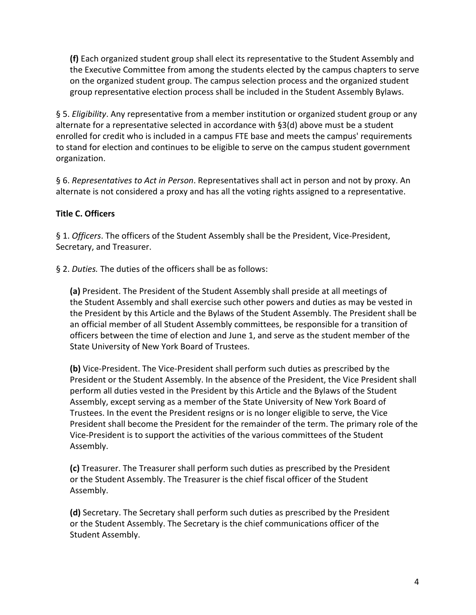**(f)** Each organized student group shall elect its representative to the Student Assembly and the Executive Committee from among the students elected by the campus chapters to serve on the organized student group. The campus selection process and the organized student group representative election process shall be included in the Student Assembly Bylaws.

§ 5. *Eligibility*. Any representative from a member institution or organized student group or any alternate for a representative selected in accordance with §3(d) above must be a student enrolled for credit who is included in a campus FTE base and meets the campus' requirements to stand for election and continues to be eligible to serve on the campus student government organization.

§ 6. *Representatives to Act in Person*. Representatives shall act in person and not by proxy. An alternate is not considered a proxy and has all the voting rights assigned to a representative.

#### <span id="page-4-0"></span>**Title C. Officers**

§ 1. *Officers*. The officers of the Student Assembly shall be the President, Vice-President, Secretary, and Treasurer.

§ 2. *Duties.* The duties of the officers shall be as follows:

**(a)** President. The President of the Student Assembly shall preside at all meetings of the Student Assembly and shall exercise such other powers and duties as may be vested in the President by this Article and the Bylaws of the Student Assembly. The President shall be an official member of all Student Assembly committees, be responsible for a transition of officers between the time of election and June 1, and serve as the student member of the State University of New York Board of Trustees.

**(b)** Vice-President. The Vice-President shall perform such duties as prescribed by the President or the Student Assembly. In the absence of the President, the Vice President shall perform all duties vested in the President by this Article and the Bylaws of the Student Assembly, except serving as a member of the State University of New York Board of Trustees. In the event the President resigns or is no longer eligible to serve, the Vice President shall become the President for the remainder of the term. The primary role of the Vice-President is to support the activities of the various committees of the Student Assembly.

**(c)** Treasurer. The Treasurer shall perform such duties as prescribed by the President or the Student Assembly. The Treasurer is the chief fiscal officer of the Student Assembly.

**(d)** Secretary. The Secretary shall perform such duties as prescribed by the President or the Student Assembly. The Secretary is the chief communications officer of the Student Assembly.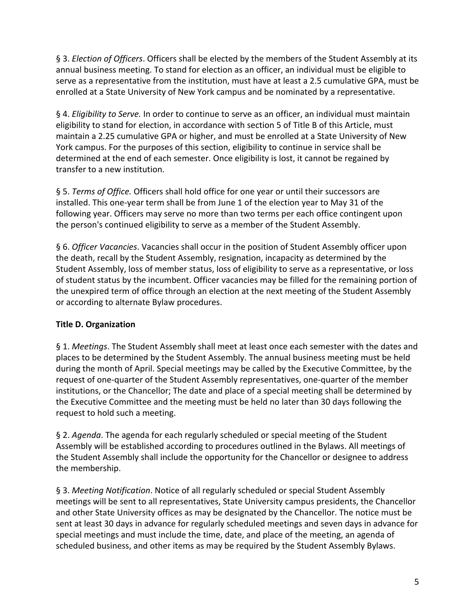§ 3. *Election of Officers*. Officers shall be elected by the members of the Student Assembly at its annual business meeting. To stand for election as an officer, an individual must be eligible to serve as a representative from the institution, must have at least a 2.5 cumulative GPA, must be enrolled at a State University of New York campus and be nominated by a representative.

§ 4. *Eligibility to Serve.* In order to continue to serve as an officer, an individual must maintain eligibility to stand for election, in accordance with section 5 of Title B of this Article, must maintain a 2.25 cumulative GPA or higher, and must be enrolled at a State University of New York campus. For the purposes of this section, eligibility to continue in service shall be determined at the end of each semester. Once eligibility is lost, it cannot be regained by transfer to a new institution.

§ 5. *Terms of Office*. Officers shall hold office for one year or until their successors are installed. This one-year term shall be from June 1 of the election year to May 31 of the following year. Officers may serve no more than two terms per each office contingent upon the person's continued eligibility to serve as a member of the Student Assembly.

§ 6. *Officer Vacancies*. Vacancies shall occur in the position of Student Assembly officer upon the death, recall by the Student Assembly, resignation, incapacity as determined by the Student Assembly, loss of member status, loss of eligibility to serve as a representative, or loss of student status by the incumbent. Officer vacancies may be filled for the remaining portion of the unexpired term of office through an election at the next meeting of the Student Assembly or according to alternate Bylaw procedures.

#### <span id="page-5-0"></span>**Title D. Organization**

§ 1. *Meetings*. The Student Assembly shall meet at least once each semester with the dates and places to be determined by the Student Assembly. The annual business meeting must be held during the month of April. Special meetings may be called by the Executive Committee, by the request of one-quarter of the Student Assembly representatives, one-quarter of the member institutions, or the Chancellor; The date and place of a special meeting shall be determined by the Executive Committee and the meeting must be held no later than 30 days following the request to hold such a meeting.

§ 2. *Agenda*. The agenda for each regularly scheduled or special meeting of the Student Assembly will be established according to procedures outlined in the Bylaws. All meetings of the Student Assembly shall include the opportunity for the Chancellor or designee to address the membership.

§ 3. *Meeting Notification*. Notice of all regularly scheduled or special Student Assembly meetings will be sent to all representatives, State University campus presidents, the Chancellor and other State University offices as may be designated by the Chancellor. The notice must be sent at least 30 days in advance for regularly scheduled meetings and seven days in advance for special meetings and must include the time, date, and place of the meeting, an agenda of scheduled business, and other items as may be required by the Student Assembly Bylaws.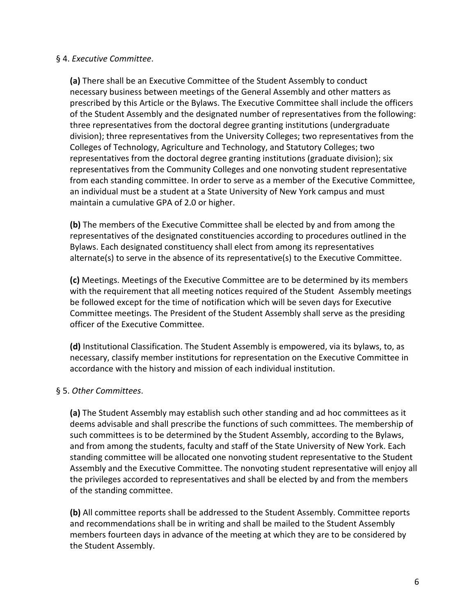#### § 4. *Executive Committee*.

**(a)** There shall be an Executive Committee of the Student Assembly to conduct necessary business between meetings of the General Assembly and other matters as prescribed by this Article or the Bylaws. The Executive Committee shall include the officers of the Student Assembly and the designated number of representatives from the following: three representatives from the doctoral degree granting institutions (undergraduate division); three representatives from the University Colleges; two representatives from the Colleges of Technology, Agriculture and Technology, and Statutory Colleges; two representatives from the doctoral degree granting institutions (graduate division); six representatives from the Community Colleges and one nonvoting student representative from each standing committee. In order to serve as a member of the Executive Committee, an individual must be a student at a State University of New York campus and must maintain a cumulative GPA of 2.0 or higher.

**(b)** The members of the Executive Committee shall be elected by and from among the representatives of the designated constituencies according to procedures outlined in the Bylaws. Each designated constituency shall elect from among its representatives alternate(s) to serve in the absence of its representative(s) to the Executive Committee.

**(c)** Meetings. Meetings of the Executive Committee are to be determined by its members with the requirement that all meeting notices required of the Student Assembly meetings be followed except for the time of notification which will be seven days for Executive Committee meetings. The President of the Student Assembly shall serve as the presiding officer of the Executive Committee.

**(d)** Institutional Classification. The Student Assembly is empowered, via its bylaws, to, as necessary, classify member institutions for representation on the Executive Committee in accordance with the history and mission of each individual institution.

#### § 5. *Other Committees*.

**(a)** The Student Assembly may establish such other standing and ad hoc committees as it deems advisable and shall prescribe the functions of such committees. The membership of such committees is to be determined by the Student Assembly, according to the Bylaws, and from among the students, faculty and staff of the State University of New York. Each standing committee will be allocated one nonvoting student representative to the Student Assembly and the Executive Committee. The nonvoting student representative will enjoy all the privileges accorded to representatives and shall be elected by and from the members of the standing committee.

**(b)** All committee reports shall be addressed to the Student Assembly. Committee reports and recommendations shall be in writing and shall be mailed to the Student Assembly members fourteen days in advance of the meeting at which they are to be considered by the Student Assembly.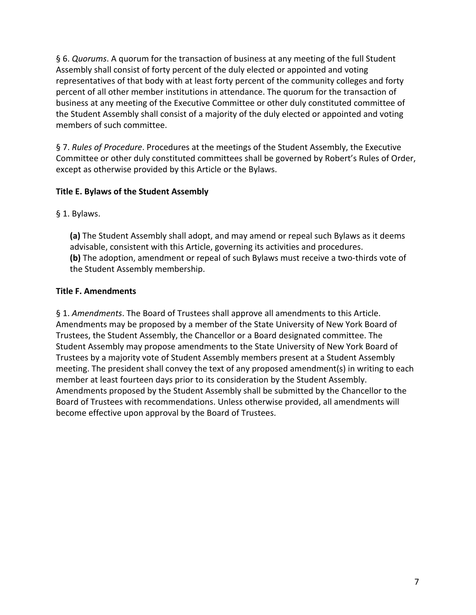§ 6. *Quorums*. A quorum for the transaction of business at any meeting of the full Student Assembly shall consist of forty percent of the duly elected or appointed and voting representatives of that body with at least forty percent of the community colleges and forty percent of all other member institutions in attendance. The quorum for the transaction of business at any meeting of the Executive Committee or other duly constituted committee of the Student Assembly shall consist of a majority of the duly elected or appointed and voting members of such committee.

§ 7. *Rules of Procedure*. Procedures at the meetings of the Student Assembly, the Executive Committee or other duly constituted committees shall be governed by Robert's Rules of Order, except as otherwise provided by this Article or the Bylaws.

#### <span id="page-7-0"></span>**Title E. Bylaws of the Student Assembly**

§ 1. Bylaws.

**(a)** The Student Assembly shall adopt, and may amend or repeal such Bylaws as it deems advisable, consistent with this Article, governing its activities and procedures. **(b)** The adoption, amendment or repeal of such Bylaws must receive a two-thirds vote of the Student Assembly membership.

#### <span id="page-7-1"></span>**Title F. Amendments**

§ 1. *Amendments*. The Board of Trustees shall approve all amendments to this Article. Amendments may be proposed by a member of the State University of New York Board of Trustees, the Student Assembly, the Chancellor or a Board designated committee. The Student Assembly may propose amendments to the State University of New York Board of Trustees by a majority vote of Student Assembly members present at a Student Assembly meeting. The president shall convey the text of any proposed amendment(s) in writing to each member at least fourteen days prior to its consideration by the Student Assembly. Amendments proposed by the Student Assembly shall be submitted by the Chancellor to the Board of Trustees with recommendations. Unless otherwise provided, all amendments will become effective upon approval by the Board of Trustees.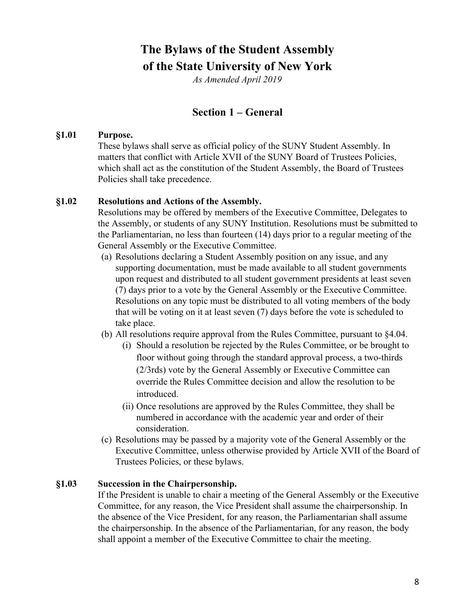# <span id="page-8-3"></span>**The Bylaws of the Student Assembly of the State University of New York**

*As Amended April 2019*

# **Section 1 – General**

#### <span id="page-8-4"></span><span id="page-8-0"></span>**§1.01 Purpose.**

These bylaws shall serve as official policy of the SUNY Student Assembly. In matters that conflict with Article XVII of the SUNY Board of Trustees Policies, which shall act as the constitution of the Student Assembly, the Board of Trustees Policies shall take precedence.

#### <span id="page-8-1"></span>**§1.02 Resolutions and Actions of the Assembly.**

Resolutions may be offered by members of the Executive Committee, Delegates to the Assembly, or students of any SUNY Institution. Resolutions must be submitted to the Parliamentarian, no less than fourteen (14) days prior to a regular meeting of the General Assembly or the Executive Committee.

- (a) Resolutions declaring a Student Assembly position on any issue, and any supporting documentation, must be made available to all student governments upon request and distributed to all student government presidents at least seven (7) days prior to a vote by the General Assembly or the Executive Committee. Resolutions on any topic must be distributed to all voting members of the body that will be voting on it at least seven (7) days before the vote is scheduled to take place.
- (b) All resolutions require approval from the Rules Committee, pursuant to §4.04.
	- (i) Should a resolution be rejected by the Rules Committee, or be brought to floor without going through the standard approval process, a two-thirds (2/3rds) vote by the General Assembly or Executive Committee can override the Rules Committee decision and allow the resolution to be introduced.
	- (ii) Once resolutions are approved by the Rules Committee, they shall be numbered in accordance with the academic year and order of their consideration.
- (c) Resolutions may be passed by a majority vote of the General Assembly or the Executive Committee, unless otherwise provided by Article XVII of the Board of Trustees Policies, or these bylaws.

#### <span id="page-8-2"></span>**§1.03 Succession in the Chairpersonship.**

If the President is unable to chair a meeting of the General Assembly or the Executive Committee, for any reason, the Vice President shall assume the chairpersonship. In the absence of the Vice President, for any reason, the Parliamentarian shall assume the chairpersonship. In the absence of the Parliamentarian, for any reason, the body shall appoint a member of the Executive Committee to chair the meeting.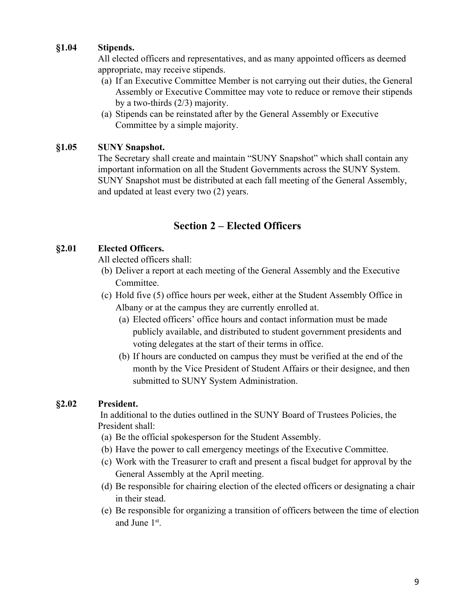## <span id="page-9-0"></span>**§1.04 Stipends.**

All elected officers and representatives, and as many appointed officers as deemed appropriate, may receive stipends.

- (a) If an Executive Committee Member is not carrying out their duties, the General Assembly or Executive Committee may vote to reduce or remove their stipends by a two-thirds (2/3) majority.
- (a) Stipends can be reinstated after by the General Assembly or Executive Committee by a simple majority.

#### <span id="page-9-1"></span>**§1.05 SUNY Snapshot.**

The Secretary shall create and maintain "SUNY Snapshot" which shall contain any important information on all the Student Governments across the SUNY System. SUNY Snapshot must be distributed at each fall meeting of the General Assembly, and updated at least every two (2) years.

# **Section 2 – Elected Officers**

#### <span id="page-9-3"></span><span id="page-9-2"></span>**§2.01 Elected Officers.**

All elected officers shall:

- (b) Deliver a report at each meeting of the General Assembly and the Executive Committee.
- (c) Hold five (5) office hours per week, either at the Student Assembly Office in Albany or at the campus they are currently enrolled at.
	- (a) Elected officers' office hours and contact information must be made publicly available, and distributed to student government presidents and voting delegates at the start of their terms in office.
	- (b) If hours are conducted on campus they must be verified at the end of the month by the Vice President of Student Affairs or their designee, and then submitted to SUNY System Administration.

# <span id="page-9-4"></span>**§2.02 President.**

In additional to the duties outlined in the SUNY Board of Trustees Policies, the President shall:

- (a) Be the official spokesperson for the Student Assembly.
- (b) Have the power to call emergency meetings of the Executive Committee.
- (c) Work with the Treasurer to craft and present a fiscal budget for approval by the General Assembly at the April meeting.
- (d) Be responsible for chairing election of the elected officers or designating a chair in their stead.
- (e) Be responsible for organizing a transition of officers between the time of election and June 1<sup>st</sup>.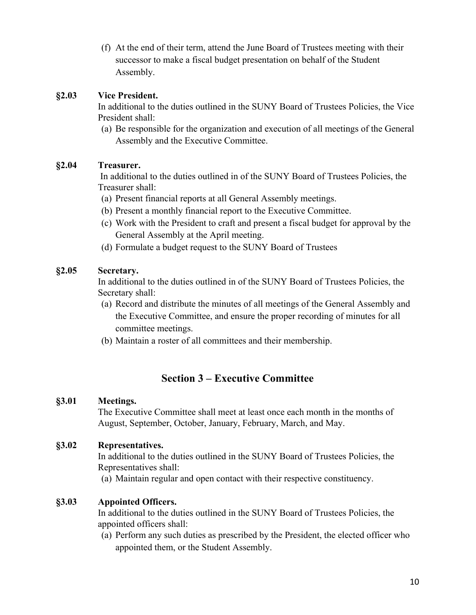(f) At the end of their term, attend the June Board of Trustees meeting with their successor to make a fiscal budget presentation on behalf of the Student Assembly.

## <span id="page-10-0"></span>**§2.03 Vice President.**

In additional to the duties outlined in the SUNY Board of Trustees Policies, the Vice President shall:

(a) Be responsible for the organization and execution of all meetings of the General Assembly and the Executive Committee.

# <span id="page-10-1"></span>**§2.04 Treasurer.**

In additional to the duties outlined in of the SUNY Board of Trustees Policies, the Treasurer shall:

- (a) Present financial reports at all General Assembly meetings.
- (b) Present a monthly financial report to the Executive Committee.
- (c) Work with the President to craft and present a fiscal budget for approval by the General Assembly at the April meeting.
- (d) Formulate a budget request to the SUNY Board of Trustees

## <span id="page-10-2"></span>**§2.05 Secretary.**

In additional to the duties outlined in of the SUNY Board of Trustees Policies, the Secretary shall:

- (a) Record and distribute the minutes of all meetings of the General Assembly and the Executive Committee, and ensure the proper recording of minutes for all committee meetings.
- (b) Maintain a roster of all committees and their membership.

# **Section 3 – Executive Committee**

# <span id="page-10-4"></span><span id="page-10-3"></span>**§3.01 Meetings.**

The Executive Committee shall meet at least once each month in the months of August, September, October, January, February, March, and May.

#### <span id="page-10-5"></span>**§3.02 Representatives.**

In additional to the duties outlined in the SUNY Board of Trustees Policies, the Representatives shall:

(a) Maintain regular and open contact with their respective constituency.

#### <span id="page-10-6"></span>**§3.03 Appointed Officers.**

In additional to the duties outlined in the SUNY Board of Trustees Policies, the appointed officers shall:

(a) Perform any such duties as prescribed by the President, the elected officer who appointed them, or the Student Assembly.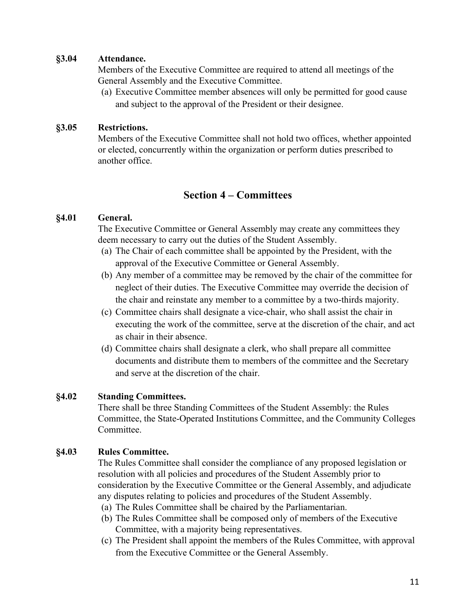#### <span id="page-11-0"></span>**§3.04 Attendance.**

Members of the Executive Committee are required to attend all meetings of the General Assembly and the Executive Committee.

(a) Executive Committee member absences will only be permitted for good cause and subject to the approval of the President or their designee.

#### <span id="page-11-1"></span>**§3.05 Restrictions.**

Members of the Executive Committee shall not hold two offices, whether appointed or elected, concurrently within the organization or perform duties prescribed to another office.

# **Section 4 – Committees**

#### <span id="page-11-3"></span><span id="page-11-2"></span>**§4.01 General.**

The Executive Committee or General Assembly may create any committees they deem necessary to carry out the duties of the Student Assembly.

- (a) The Chair of each committee shall be appointed by the President, with the approval of the Executive Committee or General Assembly.
- (b) Any member of a committee may be removed by the chair of the committee for neglect of their duties. The Executive Committee may override the decision of the chair and reinstate any member to a committee by a two-thirds majority.
- (c) Committee chairs shall designate a vice-chair, who shall assist the chair in executing the work of the committee, serve at the discretion of the chair, and act as chair in their absence.
- (d) Committee chairs shall designate a clerk, who shall prepare all committee documents and distribute them to members of the committee and the Secretary and serve at the discretion of the chair.

#### <span id="page-11-4"></span>**§4.02 Standing Committees.**

There shall be three Standing Committees of the Student Assembly: the Rules Committee, the State-Operated Institutions Committee, and the Community Colleges Committee.

#### <span id="page-11-5"></span>**§4.03 Rules Committee.**

The Rules Committee shall consider the compliance of any proposed legislation or resolution with all policies and procedures of the Student Assembly prior to consideration by the Executive Committee or the General Assembly, and adjudicate any disputes relating to policies and procedures of the Student Assembly.

- (a) The Rules Committee shall be chaired by the Parliamentarian.
- (b) The Rules Committee shall be composed only of members of the Executive Committee, with a majority being representatives.
- (c) The President shall appoint the members of the Rules Committee, with approval from the Executive Committee or the General Assembly.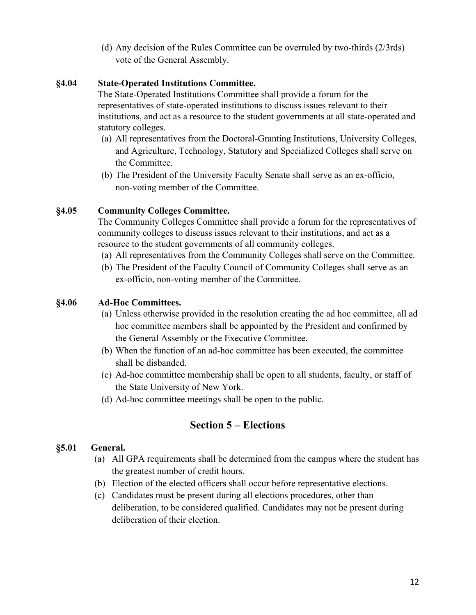(d) Any decision of the Rules Committee can be overruled by two-thirds (2/3rds) vote of the General Assembly.

## <span id="page-12-0"></span>**§4.04 State-Operated Institutions Committee.**

The State-Operated Institutions Committee shall provide a forum for the representatives of state-operated institutions to discuss issues relevant to their institutions, and act as a resource to the student governments at all state-operated and statutory colleges.

- (a) All representatives from the Doctoral-Granting Institutions, University Colleges, and Agriculture, Technology, Statutory and Specialized Colleges shall serve on the Committee.
- (b) The President of the University Faculty Senate shall serve as an ex-officio, non-voting member of the Committee.

# <span id="page-12-1"></span>**§4.05 Community Colleges Committee.**

The Community Colleges Committee shall provide a forum for the representatives of community colleges to discuss issues relevant to their institutions, and act as a resource to the student governments of all community colleges.

- (a) All representatives from the Community Colleges shall serve on the Committee.
- (b) The President of the Faculty Council of Community Colleges shall serve as an ex-officio, non-voting member of the Committee.

## <span id="page-12-2"></span>**§4.06 Ad-Hoc Committees.**

- (a) Unless otherwise provided in the resolution creating the ad hoc committee, all ad hoc committee members shall be appointed by the President and confirmed by the General Assembly or the Executive Committee.
- (b) When the function of an ad-hoc committee has been executed, the committee shall be disbanded.
- (c) Ad-hoc committee membership shall be open to all students, faculty, or staff of the State University of New York.
- (d) Ad-hoc committee meetings shall be open to the public.

# **Section 5 – Elections**

#### <span id="page-12-4"></span><span id="page-12-3"></span>**§5.01 General.**

- (a) All GPA requirements shall be determined from the campus where the student has the greatest number of credit hours.
- (b) Election of the elected officers shall occur before representative elections.
- (c) Candidates must be present during all elections procedures, other than deliberation, to be considered qualified. Candidates may not be present during deliberation of their election.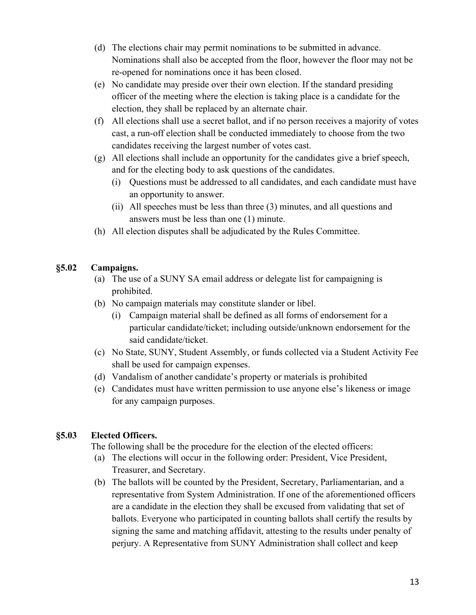- (d) The elections chair may permit nominations to be submitted in advance. Nominations shall also be accepted from the floor, however the floor may not be re-opened for nominations once it has been closed.
- (e) No candidate may preside over their own election. If the standard presiding officer of the meeting where the election is taking place is a candidate for the election, they shall be replaced by an alternate chair.
- (f) All elections shall use a secret ballot, and if no person receives a majority of votes cast, a run-off election shall be conducted immediately to choose from the two candidates receiving the largest number of votes cast.
- (g) All elections shall include an opportunity for the candidates give a brief speech, and for the electing body to ask questions of the candidates.
	- (i) Questions must be addressed to all candidates, and each candidate must have an opportunity to answer.
	- (ii) All speeches must be less than three (3) minutes, and all questions and answers must be less than one (1) minute.
- (h) All election disputes shall be adjudicated by the Rules Committee.

# <span id="page-13-0"></span>**§5.02 Campaigns.**

- (a) The use of a SUNY SA email address or delegate list for campaigning is prohibited.
- (b) No campaign materials may constitute slander or libel.
	- (i) Campaign material shall be defined as all forms of endorsement for a particular candidate/ticket; including outside/unknown endorsement for the said candidate/ticket.
- (c) No State, SUNY, Student Assembly, or funds collected via a Student Activity Fee shall be used for campaign expenses.
- (d) Vandalism of another candidate's property or materials is prohibited
- (e) Candidates must have written permission to use anyone else's likeness or image for any campaign purposes.

# <span id="page-13-1"></span>**§5.03 Elected Officers.**

The following shall be the procedure for the election of the elected officers:

- (a) The elections will occur in the following order: President, Vice President, Treasurer, and Secretary.
- (b) The ballots will be counted by the President, Secretary, Parliamentarian, and a representative from System Administration. If one of the aforementioned officers are a candidate in the election they shall be excused from validating that set of ballots. Everyone who participated in counting ballots shall certify the results by signing the same and matching affidavit, attesting to the results under penalty of perjury. A Representative from SUNY Administration shall collect and keep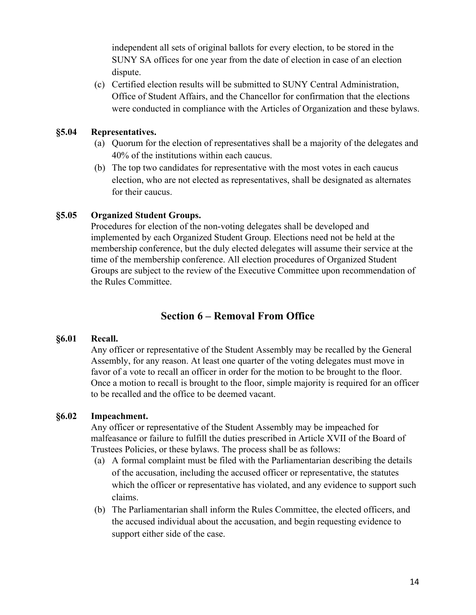independent all sets of original ballots for every election, to be stored in the SUNY SA offices for one year from the date of election in case of an election dispute.

(c) Certified election results will be submitted to SUNY Central Administration, Office of Student Affairs, and the Chancellor for confirmation that the elections were conducted in compliance with the Articles of Organization and these bylaws.

#### <span id="page-14-0"></span>**§5.04 Representatives.**

- (a) Quorum for the election of representatives shall be a majority of the delegates and 40% of the institutions within each caucus.
- (b) The top two candidates for representative with the most votes in each caucus election, who are not elected as representatives, shall be designated as alternates for their caucus.

# <span id="page-14-1"></span>**§5.05 Organized Student Groups.**

Procedures for election of the non-voting delegates shall be developed and implemented by each Organized Student Group. Elections need not be held at the membership conference, but the duly elected delegates will assume their service at the time of the membership conference. All election procedures of Organized Student Groups are subject to the review of the Executive Committee upon recommendation of the Rules Committee.

# **Section 6 – Removal From Office**

# <span id="page-14-3"></span><span id="page-14-2"></span>**§6.01 Recall.**

Any officer or representative of the Student Assembly may be recalled by the General Assembly, for any reason. At least one quarter of the voting delegates must move in favor of a vote to recall an officer in order for the motion to be brought to the floor. Once a motion to recall is brought to the floor, simple majority is required for an officer to be recalled and the office to be deemed vacant.

# <span id="page-14-4"></span>**§6.02 Impeachment.**

Any officer or representative of the Student Assembly may be impeached for malfeasance or failure to fulfill the duties prescribed in Article XVII of the Board of Trustees Policies, or these bylaws. The process shall be as follows:

- (a) A formal complaint must be filed with the Parliamentarian describing the details of the accusation, including the accused officer or representative, the statutes which the officer or representative has violated, and any evidence to support such claims.
- (b) The Parliamentarian shall inform the Rules Committee, the elected officers, and the accused individual about the accusation, and begin requesting evidence to support either side of the case.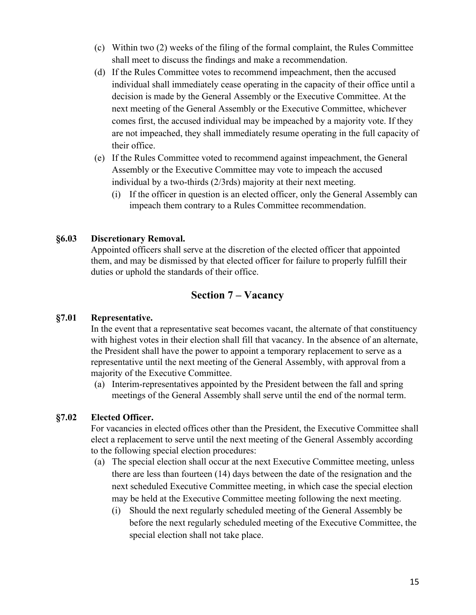- (c) Within two (2) weeks of the filing of the formal complaint, the Rules Committee shall meet to discuss the findings and make a recommendation.
- (d) If the Rules Committee votes to recommend impeachment, then the accused individual shall immediately cease operating in the capacity of their office until a decision is made by the General Assembly or the Executive Committee. At the next meeting of the General Assembly or the Executive Committee, whichever comes first, the accused individual may be impeached by a majority vote. If they are not impeached, they shall immediately resume operating in the full capacity of their office.
- (e) If the Rules Committee voted to recommend against impeachment, the General Assembly or the Executive Committee may vote to impeach the accused individual by a two-thirds (2/3rds) majority at their next meeting.
	- (i) If the officer in question is an elected officer, only the General Assembly can impeach them contrary to a Rules Committee recommendation.

## <span id="page-15-0"></span>**§6.03 Discretionary Removal.**

Appointed officers shall serve at the discretion of the elected officer that appointed them, and may be dismissed by that elected officer for failure to properly fulfill their duties or uphold the standards of their office.

# **Section 7 – Vacancy**

#### <span id="page-15-2"></span><span id="page-15-1"></span>**§7.01 Representative.**

In the event that a representative seat becomes vacant, the alternate of that constituency with highest votes in their election shall fill that vacancy. In the absence of an alternate, the President shall have the power to appoint a temporary replacement to serve as a representative until the next meeting of the General Assembly, with approval from a majority of the Executive Committee.

(a) Interim-representatives appointed by the President between the fall and spring meetings of the General Assembly shall serve until the end of the normal term.

#### <span id="page-15-3"></span>**§7.02 Elected Officer.**

For vacancies in elected offices other than the President, the Executive Committee shall elect a replacement to serve until the next meeting of the General Assembly according to the following special election procedures:

- (a) The special election shall occur at the next Executive Committee meeting, unless there are less than fourteen (14) days between the date of the resignation and the next scheduled Executive Committee meeting, in which case the special election may be held at the Executive Committee meeting following the next meeting.
	- (i) Should the next regularly scheduled meeting of the General Assembly be before the next regularly scheduled meeting of the Executive Committee, the special election shall not take place.